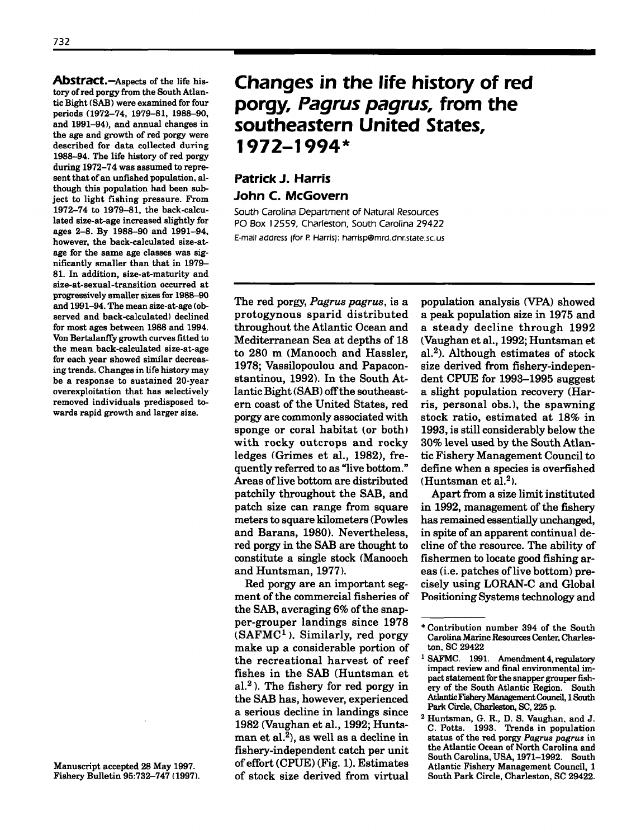Abstract.-Aspects of the life history of red porgy from the South Atlantic Bight (SAB) were examined for four periods (1972-74, 1979-81, 1988-90, and 1991-94), and annual changes in the age and growth of red porgy were described for data collected during 1988-94. The life history of red porgy during 1972-74 was assumed to represent that of an unfished population, although this population had been subject to light fishing pressure. From 1972-74 to 1979-81, the back-calculated size-at-age increased slightly for ages 2-8. By 1988-90 and 1991-94. however, the back-calculated size-atage for the same age classes was significantly smaller than that in 1979- 81. In addition, size-at-maturity and size-at-sexual-transition occurred at progressively smaller sizes for 1988-90 and 1991-94. The mean size-at-age (observed and back-calculated) declined for most ages between 1988 and 1994. Von Bertalanffy growth curves fitted to the mean back-calculated size-at-age for each year showed similar decreasing trends. Changes in life history may be a response to sustained 20-year overexploitation that has selectively removed individuals predisposed towards rapid growth and larger size.

Manuscript accepted 28 May 1997. Fishery Bulletin 95:732-747 (1997).

# **Changes in the life history of red porgy,** *Pagrus pagrus,* **from the southeastern United States, 1972-1994\***

# **Patrick J. Harris John C. McGovern**

South Carolina Department of Natural Resources PO Box 12559, Charleston. South Carolina 29422 E-mail address (for P. Harris): harrisp@mrd.dnr.state.sc.us

The red porgy, *Pagrus pagrus,* is a protogynous sparid distributed throughout the Atlantic Ocean and Mediterranean Sea at depths of 18 to 280 m (Manooch and Hassler, 1978; Vassilopoulou and Papaconstantinou, 1992). In the South Atlantic Bight (SAB) off the southeastern coast of the United States, red porgy are commonly associated with sponge or coral habitat (or both) with rocky outcrops and rocky ledges (Grimes et aI., 1982), frequently referred to as "live bottom." Areas of live bottom are distributed patchily throughout the SAB, and patch size can range from square meters to square kilometers (Powles and Barans, 1980). Nevertheless, red porgy in the SAB are thought to constitute a single stock (Manooch and Huntsman, 1977).

Red porgy are an important segment of the commercial fisheries of the SAB, averaging  $6\%$  of the snapper-grouper landings since 1978  $(SAFMC<sup>1</sup>)$ . Similarly, red porgy make up a considerable portion of the recreational harvest of reef fishes in the SAB (Huntsman et al.<sup>2</sup>). The fishery for red porgy in the SAB has, however, experienced a serious decline in landings since 1982 (Vaughan et aI., 1992; Huntsman et al.<sup>2</sup>), as well as a decline in fishery-independent catch per unit of effort (CPUE) (Fig. 1). Estimates of stock size derived from virtual population analysis (VPA) showed a peak population size in 1975 and a steady decline through 1992 (Vaughan et aI., 1992; Huntsman et al.<sup>2</sup>). Although estimates of stock size derived from fishery-independent CPUE for 1993-1995 suggest a slight population recovery (Harris, personal obs.), the spawning stock ratio, estimated at 18% in 1993, is still considerably below the 30% level used by the South Atlantic Fishery Management Council to define when a species is overfished (Huntsman et al.<sup>2</sup>).

Apart from a size limit instituted in 1992, management of the fishery has remained essentially unchanged, in spite of an apparent continual decline of the resource. The ability of fishermen to locate good fishing areas (i.e. patches of live bottom) precisely using LORAN-C and Global Positioning Systems technology and

<sup>\*</sup>Contribution number 394 of the South Carolina Marine Resources Center. Charleston. SC 29422

<sup>&</sup>lt;sup>1</sup> SAFMC. 1991. Amendment 4, regulatory impact review and final environmental impact statement for the snapper grouper fishery of the South Atlantic Region. South AtlanticFisheryManagementCouncil, 1South Park Circle. Charleston, SC, 225 p.

<sup>2</sup> Huntsman, G. R., D. S. Vaughan. and J. C. Potts. 1993. Trends in population status of the red porgy Pagrus pagrus in the Atlantic Ocean of North Carolina and South Carolina. USA, 1971-1992. South Atlantic Fishery Management Council, 1 South Park Circle, Charleston, SC 29422.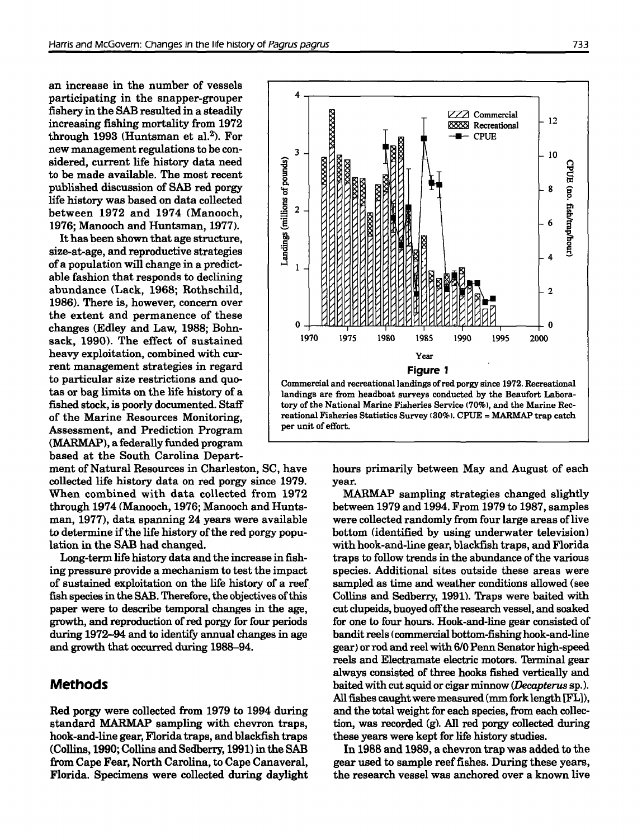an increase in the number of vessels participating in the snapper-grouper fishery in the SAB resulted in a steadily increasing fishing mortality from 1972 through 1993 (Huntsman et al.<sup>2</sup>). For new management regulations to be considered, current life history data need to be made available. The most recent published discussion of SAB red porgy life history was based on data collected between 1972 and 1974 (Manooch, 1976; Manooch and Huntsman, 1977).

Ithas been shown that age structure, size-at-age, and reproductive strategies of a population will change in a predictable fashion that responds to declining abundance (Lack, 1968; Rothschild, 1986). There is, however, concern over the extent and permanence of these changes (Edley and Law, 1988; Bohnsack, 1990). The effect of sustained heavy exploitation, combined with current management strategies in regard to particular size restrictions and quotas or bag limits on the life history of a fished stock, is poorly documented. Staff of the Marine Resources Monitoring, Assessment, and Prediction Program (MARMAP), a federally funded program based at the South Carolina Depart-

ment of Natural Resources in Charleston, SC, have collected life history data on red porgy since 1979. When combined with data collected from 1972 through 1974 (Manooch, 1976; Manooch and Huntsman, 1977), data spanning 24 years were available to determine if the life history of the red porgy population in the SAB had changed.

Long-term life history data and the increase in fishing pressure provide a mechanism to test the impact of sustained exploitation on the life history of a reef. fish species in the SAB. Therefore, the objectives of this paper were to describe temporal changes in the age, growth, and reproduction of red porgy for four periods during 1972-94 and to identify annual changes in age and growth that occurred during 1988-94.

# **Methods**

Red porgy were collected from 1979 to 1994 during standard MARMAP sampling with chevron traps, hook-and-line gear, Florida traps, and blackfish traps (Collins, 1990; Collins and Sedberry, 1991) in the SAB from Cape Fear, North Carolina, to Cape Canaveral, Florida. Specimens were collected during daylight



hours primarily between May and August of each year.

MARMAP sampling strategies changed slightly between 1979 and 1994. From 1979 to 1987, samples were collected randomly from four large areas of live bottom (identified by using underwater television) with hook-and-line gear, blackfish traps, and Florida traps to follow trends in the abundance of the various species. Additional sites outside these areas were sampled as time and weather conditions allowed (see Collins and Sedberry, 1991). Traps were baited with cut clupeids, buoyed offthe research vessel, and soaked for one to four hours. Hook-and-line gear consisted of bandit reels (commercial bottom-fishing hook-and-line gear) or rod and reel with 6/0 Penn Senator high-speed reels and Electramate electric motors. Terminal gear always consisted of three hooks fished vertically and baited with cutsquid or cigar minnow *(Decapterus* sp.). All fishes caught were measured (mm fork length [FL]), and the total weight for each species, from each collection, was recorded (g). All red porgy collected during these years were kept for life history studies.

**In** 1988 and 1989, a chevron trap was added to the gear used to sample reeffishes. During these years, the research vessel was anchored over a known live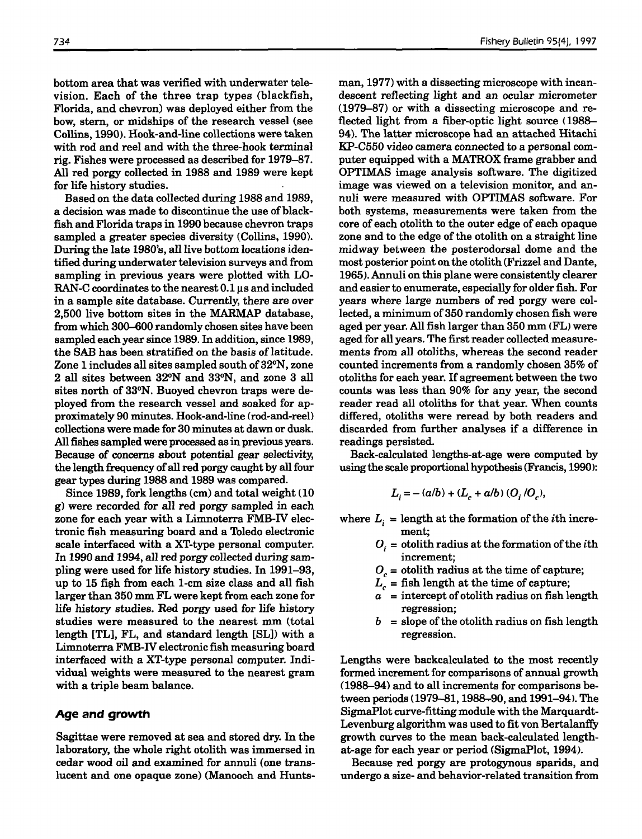bottom area that was verified with underwater television. Each of the three trap types (blackfish, Florida, and chevron) was deployed either from the bow, stem, or midships of the research vessel (see Collins, 1990). Hook-and-line collections were taken with rod and reel and with the three-hook terminal rig. Fishes were processed as described for 1979-87. All red porgy collected in 1988 and 1989 were kept for life history studies.

Based on the data collected during 1988 and 1989, a decision was made to discontinue the use of blackfish and Florida traps in 1990 because chevron traps sampled a greater species diversity (Collins, 1990). During the late 1980's, all live bottom locations identified during underwater television surveys and from sampling in previous years were plotted with LO-RAN-C coordinates to the nearest  $0.1 \mu s$  and included in a sample site database. Currently, there are over 2,500 live bottom sites in the MARMAP database, from which 300-600 randomly chosen sites have been sampled each yearsince 1989. In addition, since 1989, the SAB has been stratified on the basis of latitude. Zone 1 includes all sites sampled south of 32°N, zone 2 all sites between 32°N and 33°N, and zone 3 all sites north of 33°N. Buoyed chevron traps were deployed from the research vessel and soaked for approximately 90 minutes. Hook-and-line (rod-and-reeD collections were made for 30 minutes at dawn or dusk. All fishes sampled were processed as in previous years. Because of concerns about potential gear selectivity, the length frequency of all red porgy caught by all four gear types during 1988 and 1989 was compared.

Since 1989, fork lengths  $(cm)$  and total weight  $(10$ g) were recorded for all red porgy sampled in each zone for each year with a Limnoterra FMB-IV electronic fish measuring board and a Toledo electronic scale interfaced with a XT-type personal computer. In 1990 and 1994, all red porgy collected during sampling were used for life history studies. In 1991-93, up to 15 fi§lh from each 1-cm size class and all fish larger than 350 mm FL were kept from each zone for life history studies. Red porgy used for life history studies were measured to the nearest mm (total length [TLJ, FL, and standard length [SL]) with a Limnoterra FMB-IV electronic fish measuring board interfaced with a XT-type personal computer. Individual weights were measured to the nearest gram with a triple beam balance.

## **Age and growth**

Sagittae were removed at sea and stored dry. In the laboratory, the whole right otolith was immersed in cedar wood oil and examined for annuli (one translucent and one opaque zone) (Manooch and Huntsman, 1977) with a dissecting microscope with incandescent reflecting light and an ocular micrometer (1979-87) or with a dissecting microscope and reflected light from a fiber-optic light source (1988- 94). The latter microscope had an attached Hitachi KP-C550 video camera connected to a personal computer equipped with a MATROX frame grabber and OPTIMAS image analysis software. The digitized image was viewed on a television monitor, and annuli were measured with OPTIMAS software. For both systems, measurements were taken from the core of each otolith to the outer edge of each opaque zone and to the edge of the otolith on a straight line midway between the posterodorsal dome and the most posterior point on the otolith (Frizzel and Dante, 1965). Annuli on this plane were consistently clearer and easier to enumerate, especially for older fish. For years where large numbers of red porgy were collected, a minimum of 350 randomly chosen fish were aged per year. All fish larger than 350 mm (FL) were aged for all years. The first reader collected measurements from all otoliths, whereas the second reader counted increments from a randomly chosen 35% of otoliths for each year. If agreement between the two counts was less than 90% for any year, the second reader read all otoliths for that year. When counts differed, otoliths were reread by both readers and discarded from further analyses if a difference in readings persisted.

Back-calculated lengths-at-age were computed by using the scale proportional hypothesis(Francis, 1990):

$$
L_i = - (a/b) + (L_c + a/b) (O_i/O_c),
$$

where  $L_i =$  length at the formation of the *i*th increment;

- $O_i$  = otolith radius at the formation of the *i*th increment;
- $O<sub>c</sub>$  = otolith radius at the time of capture;
- $L_c$  = fish length at the time of capture;
- $a =$  intercept of otolith radius on fish length regression;
- $b =$  slope of the otolith radius on fish length regression.

Lengths were backcalculated to the most recently formed increment for comparisons of annual growth (1988-94) and to all increments for comparisons between periods (1979-81, 1988-90, and 1991-94). The SigmaPlot curve-fitting module with the Marquardt-Levenburg algorithm was used to fit von Bertalanffy growth curves to the mean back-calculated lengthat-age for each year or period (SigmaPlot, 1994).

Because red porgy are protogynous sparids, and undergo a size- and behavior-related transition from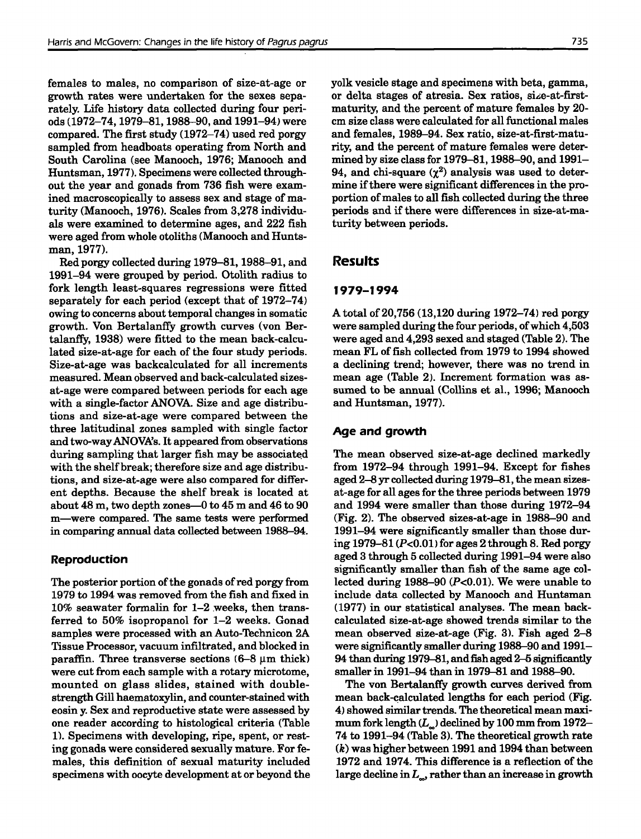females to males, no comparison of size-at-age or growth rates were undertaken for the sexes separately. Life history data collected during four periods (1972-74,1979-81,1988-90, and 1991-94) were compared. The first study (1972-74) used red porgy sampled from headboats operating from North and South Carolina (see Manooch, 1976; Manooch and Huntsman, 1977). Specimens were collected throughout the year and gonads from 736 fish were examined macroscopically to assess sex and stage of maturity (Manooch, 1976). Scales from 3,278 individuals were examined to determine ages, and 222 fish were aged from whole otoliths (Manooch and Huntsman, 1977).

Red porgy collected during 1979-81, 1988-91, and 1991-94 were grouped by period. Otolith radius to fork length least-squares regressions were fitted separately for each period (except that of 1972-74) owing to concerns about temporal changes in somatic growth. Von Bertalanffy growth curves (von Bertalanffy, 1938) were fitted to the mean back-calculated size-at-age for each of the four study periods. Size-at-age was backcalculated for all increments measured. Mean observed and back-calculated sizesat-age were compared between periods for each age with a single-factor ANOVA. Size and age distributions and size-at-age were compared between the three latitudinal zones sampled with single factor and two-wayANOVA's. It appeared from observations during sampling that larger fish may be associated with the shelf break; therefore size and age distributions, and size-at-age were also compared for different depths. Because the shelf break is located at about  $48 \text{ m}$ , two depth zones- $0$  to  $45 \text{ m}$  and  $46$  to  $90$ m-were compared. The same tests were performed in comparing annual data collected between 1988-94.

## **Reproduction**

The posterior portion of the gonads of red porgy from 1979 to 1994 was removed from the fish and fixed in 10% seawater formalin for 1-2 .weeks, then transferred to 50% isopropanol for 1-2 weeks. Gonad samples were processed with an Auto-Technicon 2A Tissue Processor, vacuum infiltrated, and blocked in paraffin. Three transverse sections  $(6-8 \mu m)$  thick) were cut from each sample with a rotary microtome, mounted on glass slides, stained with doublestrength Gill haematoxylin, and counter-stained with eosin y. Sex and reproductive state were assessed by one reader according to histological criteria (Table 1), Specimens with developing, ripe, spent, or resting gonads were considered sexually mature. For females, this definition of sexual maturity included specimens with oocyte development at or beyond the yolk vesicle stage and specimens with beta, gamma, or delta stages of atresia. Sex ratios, size-at-firstmaturity, and the percent of mature females by 20 em size class were calculated for all functional males and females, 1989-94. Sex ratio, size-at-first-maturity, and the percent of mature females were determined by size class for 1979-81, 1988-90, and 1991- 94, and chi-square  $(\chi^2)$  analysis was used to determine if there were significant differences in the proportion of males to all fish collected during the three periods and if there were differences in size-at-maturity between periods.

## **Results**

## **1979-1994**

A total of 20,756 (13,120 during 1972-74) red porgy were sampled during the four periods, of which 4,503 were aged and 4,293 sexed and staged (Table 2). The mean FL of fish collected from 1979 to 1994 showed a declining trend; however, there was no trend in mean age (Table 2). Increment formation was assumed to be annual (Collins et aI., 1996; Manooch and Huntsman, 1977).

## **Age and growth**

The mean observed size-at-age declined markedly from 1972-94 through 1991-94. Except for fishes aged 2-8 yr collected during 1979-81, the mean sizesat-age for all agesfor the three periods between 1979 and 1994 were smaller than those during 1972-94 (Fig. 2). The observed sizes-at-age in 1988-90 and 1991-94 were significantly smaller than those during 1979-81 (P<0.01) for ages 2 through 8. Red porgy aged 3 through 5 collected during 1991-94 were also significantly smaller than fish of the same age collected during 1988-90  $(P<0.01)$ . We were unable to include data collected by Manooch and Huntsman (1977) in our statistical analyses. The mean backcalculated size-at-age showed trends similar to the mean observed size-at-age (Fig. 3), Fish aged 2-8 were significantly smaller during 1988-90 and 1991- 94 than during 1979-81, andfish aged 2-5 significantly smaller in 1991-94 than in 1979-81 and 1988-90.

The von Bertalanffy growth curves derived from mean back-calculated lengths for each period (Fig. 4) showed similar trends. The theoretical mean maximum fork length  $(L_{\omega})$  declined by 100 mm from 1972-74 to 1991-94 (Table 3). The theoretical growth rate *(k)* was higher between 1991 and 1994 than between 1972 and 1974. This difference is a reflection of the large decline in  $L_{\alpha}$ , rather than an increase in growth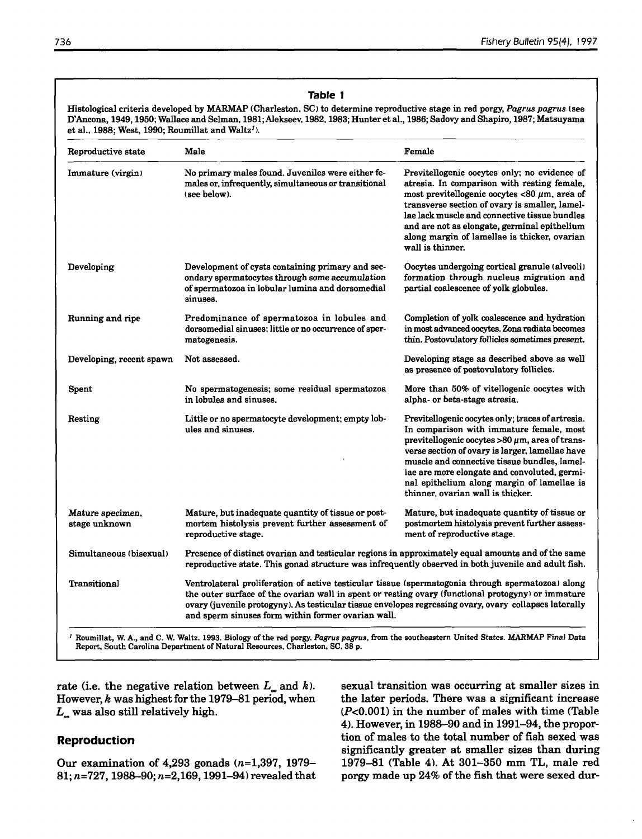| Reproductive state                | Male                                                                                                                                                                                                                                                                                                                                                                    | Female                                                                                                                                                                                                                                                                                                                                                                                     |  |  |  |
|-----------------------------------|-------------------------------------------------------------------------------------------------------------------------------------------------------------------------------------------------------------------------------------------------------------------------------------------------------------------------------------------------------------------------|--------------------------------------------------------------------------------------------------------------------------------------------------------------------------------------------------------------------------------------------------------------------------------------------------------------------------------------------------------------------------------------------|--|--|--|
| Immature (virgin)                 | No primary males found. Juveniles were either fe-<br>males or, infrequently, simultaneous or transitional<br>(see below).                                                                                                                                                                                                                                               | Previtellogenic oocytes only; no evidence of<br>atresia. In comparison with resting female,<br>most previtellogenic oocytes <80 $\mu$ m, area of<br>transverse section of ovary is smaller, lamel-<br>lae lack muscle and connective tissue bundles<br>and are not as elongate, germinal epithelium<br>along margin of lamellae is thicker, ovarian<br>wall is thinner.                    |  |  |  |
| Developing                        | Development of cysts containing primary and sec-<br>ondary spermatocytes through some accumulation<br>of spermatozoa in lobular lumina and dorsomedial<br>sinuses.                                                                                                                                                                                                      | Oocytes undergoing cortical granule (alveoli)<br>formation through nucleus migration and<br>partial coalescence of yolk globules.                                                                                                                                                                                                                                                          |  |  |  |
| Running and ripe                  | Predominance of spermatozoa in lobules and<br>dorsomedial sinuses; little or no occurrence of sper-<br>matogenesis.                                                                                                                                                                                                                                                     | Completion of yolk coalescence and hydration<br>in most advanced oocytes. Zona radiata becomes<br>thin. Postovulatory follicles sometimes present.                                                                                                                                                                                                                                         |  |  |  |
| Developing, recent spawn          | Not assessed.                                                                                                                                                                                                                                                                                                                                                           | Developing stage as described above as well<br>as presence of postovulatory follicles.                                                                                                                                                                                                                                                                                                     |  |  |  |
| Spent                             | No spermatogenesis; some residual spermatozoa<br>in lobules and sinuses.                                                                                                                                                                                                                                                                                                | More than 50% of vitellogenic oocytes with<br>alpha- or beta-stage atresia.                                                                                                                                                                                                                                                                                                                |  |  |  |
| Resting                           | Little or no spermatocyte development; empty lob-<br>ules and sinuses.                                                                                                                                                                                                                                                                                                  | Previtellogenic oocytes only; traces of artresia.<br>In comparison with immature female, most<br>previtellogenic oocytes $>80 \mu$ m, area of trans-<br>verse section of ovary is larger, lamellae have<br>muscle and connective tissue bundles, lamel-<br>lae are more elongate and convoluted, germi-<br>nal epithelium along margin of lamellae is<br>thinner, ovarian wall is thicker. |  |  |  |
| Mature specimen,<br>stage unknown | Mature, but inadequate quantity of tissue or post-<br>mortem histolysis prevent further assessment of<br>reproductive stage.                                                                                                                                                                                                                                            | Mature, but inadequate quantity of tissue or<br>postmortem histolysis prevent further assess-<br>ment of reproductive stage.                                                                                                                                                                                                                                                               |  |  |  |
| Simultaneous (bisexual)           | Presence of distinct ovarian and testicular regions in approximately equal amounts and of the same<br>reproductive state. This gonad structure was infrequently observed in both juvenile and adult fish.                                                                                                                                                               |                                                                                                                                                                                                                                                                                                                                                                                            |  |  |  |
| Transitional                      | Ventrolateral proliferation of active testicular tissue (spermatogonia through spermatozoa) along<br>the outer surface of the ovarian wall in spent or resting ovary (functional protogyny) or immature<br>ovary (juvenile protogyny). As testicular tissue envelopes regressing ovary, ovary collapses laterally<br>and sperm sinuses form within former ovarian wall. |                                                                                                                                                                                                                                                                                                                                                                                            |  |  |  |

Report. South Carolina Department of Natural Resources, Charleston, SC. 38 p.

rate (i.e. the negative relation between  $L_{\infty}$  and  $k$ ). However, *k* was highest for the 1979-81 period, when  $L_{\circ}$  was also still relatively high.

## **Reproduction**

Our examination of 4,293 gonads *(n=1,397, 1979-* 81; *n=727,* 1988-90; *n=2,169,* 1991-94) revealed that sexual transition was occurring at smaller sizes in the later periods. There was a significant increase (P<0.001) in the number of males with time (Table 4). However, in 1988-90 and in 1991-94, the proportion of males to the total number of fish sexed was significantly greater at smaller sizes than during 1979-81 (Table 4), At 301-350 mm TL, male red porgy made up 24% of the fish that were sexed dur-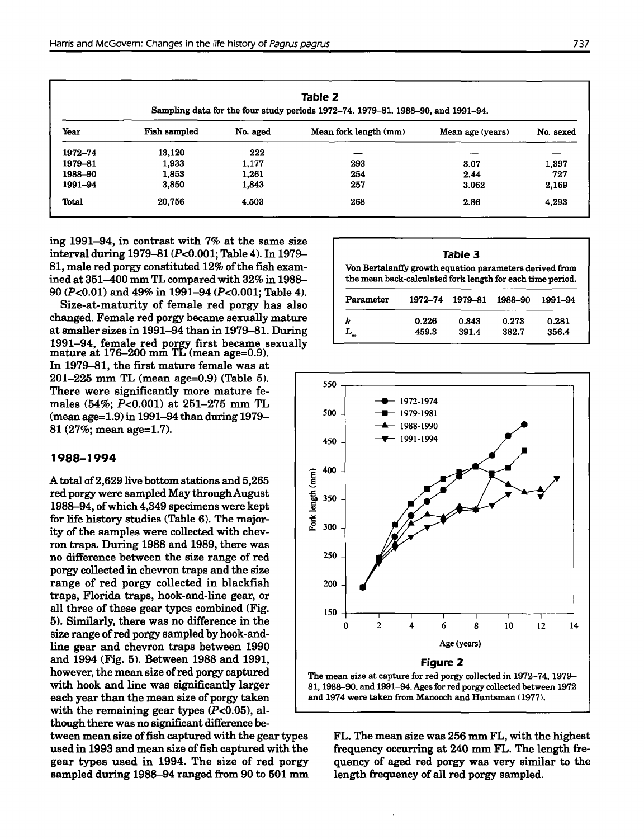| Table 2<br>Sampling data for the four study periods 1972–74, 1979–81, 1988–90, and 1991–94. |              |          |                       |                  |           |  |  |  |
|---------------------------------------------------------------------------------------------|--------------|----------|-----------------------|------------------|-----------|--|--|--|
| Year                                                                                        | Fish sampled | No. aged | Mean fork length (mm) | Mean age (years) | No. sexed |  |  |  |
| 1972-74                                                                                     | 13,120       | 222      |                       |                  |           |  |  |  |
| 1979–81                                                                                     | 1,933        | 1,177    | 293                   | 3.07             | 1,397     |  |  |  |
| 1988–90                                                                                     | 1,853        | 1.261    | 254                   | 2.44             | 727       |  |  |  |
| 1991-94                                                                                     | 3,850        | 1,843    | 257                   | 3.062            | 2,169     |  |  |  |
| Total                                                                                       | 20.756       | 4.503    | 268                   | 2.86             | 4.293     |  |  |  |

ing 1991-94, in contrast with 7% at the same size interval during 1979-81 (P<0.001; Table 4). In 1979- 81, male red porgy constituted 12% of the fish examined at 351-400 mm TL compared with 32% in 1988- 90 (P<0.01) and 49% in 1991-94 (P<0.001; Table 4).

Size-at-maturity of female red porgy has also changed. Female red porgy became sexually mature at smaller sizes in 1991-94 than in 1979-81. During 1991-94, female red porgy first became sexually mature at 176-200 mm TL (mean age=0.9).

In 1979-81, the first mature female was at 201-225 mm TL (mean age=0.9) (Table 5). There were significantly more mature females (54%; P<0.001) at 251-275 mm TL (mean age=1.9) in 1991-94 than during 1979- 81 (27%; mean age=1.7).

## **1988-1994**

A total of2,629 live bottom stations and 5,265 red porgy were sampled May through August 1988-94, ofwhich 4,349 specimens were kept for life history studies (Table 6). The majority of the samples were collected with chevron traps. During 1988 and 1989, there was no difference between the size range of red porgy collected in chevron traps and the size range of red porgy collected in blackfish traps, Florida traps, hook-and-line gear, or all three of these gear types combined (Fig. 5). Similarly, there was no difference in the size range of red porgy sampled by hook-andline gear and chevron traps between 1990 and 1994 (Fig. 5). Between 1988 and 1991, however, the mean size of red porgy captured with hook and line was significantly larger each year than the mean size of porgy taken with the remaining gear types  $(P<0.05)$ , although there was no significant difference be-

tween mean size offish captured with the gear types used in 1993 and mean size of fish captured with the gear types used in 1994. The size of red porgy sampled during 1988-94 ranged from 90 to 501 mm

| ___<br>٠ |  |
|----------|--|
|----------|--|

Von Bertalanffy growth equation parameters derived from the mean back-calculated fork length for each time period.

| Parameter |       | 1972-74 1979-81 1988-90 |       | -1991–94 |
|-----------|-------|-------------------------|-------|----------|
| k         | 0.226 | 0.343                   | 0.273 | 0.281    |
|           | 459.3 | 391.4                   | 382.7 | 356.4    |



FL. The mean size was 256 mm FL, with the highest frequency occurring at 240 mm FL. The length frequency of aged red porgy was very similar to the length frequency of all red porgy sampled.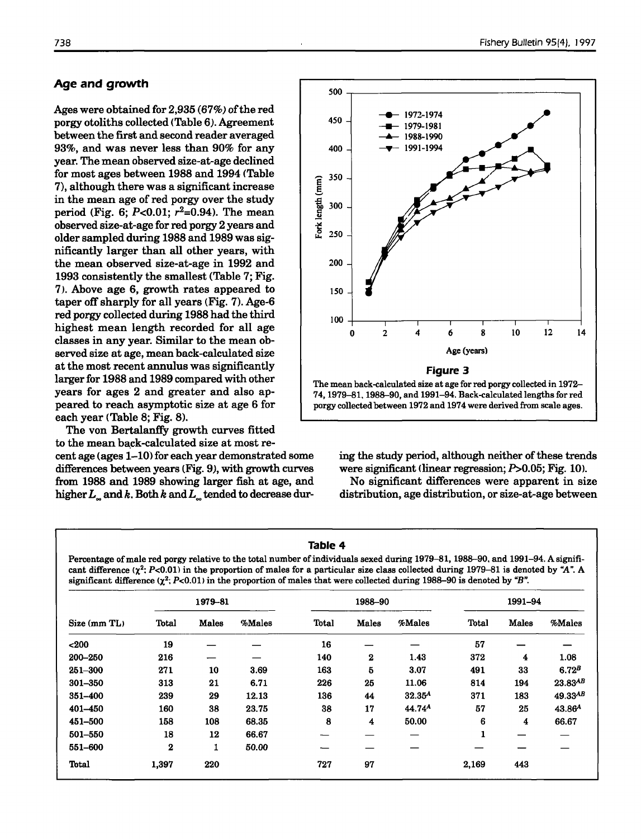## **Age and growth**

Ages were obtained for  $2.935(67%)$  of the red porgy otoliths collected (Table 6). Agreement between the first and second reader averaged 93%, and was never less than 90% for any year. The mean observed size-at-age declined for most ages between 1988 and 1994 (Table 7), although there was a significant increase in the mean age of red porgy over the study period (Fig. 6;  $P < 0.01$ ;  $r^2 = 0.94$ ). The mean observed size-at-age for red porgy 2 years and older sampled during 1988 and 1989 was significantly larger than all other years, with the mean observed size-at-age in 1992 and 1993 consistently the smallest (Table 7; Fig. 7). Above age 6, growth rates appeared to taper off sharply for all years (Fig.  $7$ ). Age-6 red porgy collected during 1988 had the third highest mean length recorded for all age classes in any year. Similar to the mean observed size at age, mean back-calculated size at the most recent annulus was significantly larger for 1988 and 1989 compared with other years for ages 2 and greater and also appeared to reach asymptotic size at age 6 for each year (Table 8; Fig. 8).

The von Bertalanffy growth curves fitted to the mean back-calculated size at most recent age (ages  $1-10$ ) for each year demonstrated some differences between years (Fig. 9), with growth curves from 1988 and 1989 showing larger fish at age, and higher*L..* and *k.* Both *k* and*L..* tended to decrease dur-



74, 1979-81, 1988--90, and 1991-94. Back-calculated lengths for red porgy collected between 1972 and 1974 were derived from scale ages.

ing the study period, although neither of these trends were significant (linear regression;  $P > 0.05$ ; Fig. 10).

No significant differences were apparent in size distribution, age distribution, or size-at-age between

## **Table 4**

Percentage of male red porgy relative to the total number of individuals sexed during 1979–81, 1988–90, and 1991–94. A significant difference  $(\chi^2; P<0.01)$  in the proportion of males for a particular size class collected during 1979-81 is denoted by "A". A significant difference  $(\chi^2; P<0.01)$  in the proportion of males that were collected during 1988-90 is denoted by "B".

|              |             | 1979-81      |        | 1988-90      |              |                    | 1991-94      |              |                    |
|--------------|-------------|--------------|--------|--------------|--------------|--------------------|--------------|--------------|--------------------|
| Size (mm TL) | Total       | <b>Males</b> | %Males | <b>Total</b> | <b>Males</b> | %Males             | Total        | <b>Males</b> | %Males             |
| $200$        | 19          |              |        | 16           |              |                    | 57           |              |                    |
| 200-250      | 216         |              |        | 140          | $\bf{z}$     | 1.43               | 372          | 4            | 1.08               |
| $251 - 300$  | 271         | 10           | 3.69   | 163          | 5            | 3.07               | 491          | 33           | 6.72 <sup>B</sup>  |
| 301-350      | 313         | 21           | 6.71   | 226          | 25           | 11.06              | 814          | 194          | $23.83^{AB}$       |
| 351-400      | 239         | 29           | 12.13  | 136          | 44           | 32.35 <sup>A</sup> | 371          | 183          | $49.33^{AB}$       |
| 401-450      | 160         | 38           | 23.75  | 38           | 17           | 44.74 <sup>A</sup> | 57           | 25           | 43.86 <sup>4</sup> |
| 451-500      | 158         | 108          | 68.35  | 8            | 4            | 50.00              | 6            | 4            | 66.67              |
| 501-550      | 18          | 12           | 66.67  |              |              |                    | $\mathbf{1}$ |              |                    |
| 551-600      | $\mathbf 2$ | 1            | 50.00  |              |              |                    |              |              |                    |
| Total        | 1,397       | 220          |        | 727          | 97           |                    | 2,169        | 443          |                    |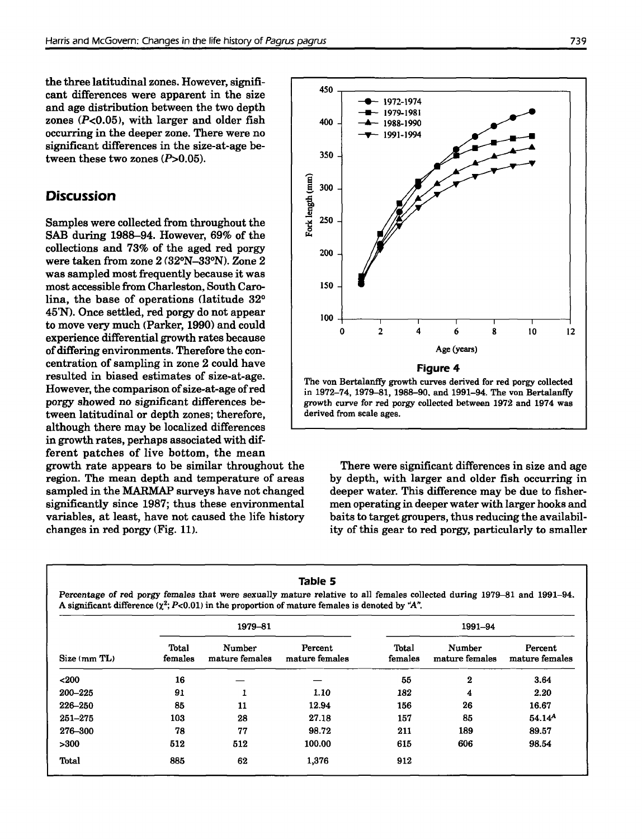the three latitudinal zones. However, significant differences were apparent in the size and age distribution between the two depth zones  $(P<0.05)$ , with larger and older fish occurring in the deeper zone. There were no significant differences in the size-at-age between these two zones  $(P>0.05)$ .

# **Discussion**

Samples were collected from throughout the SAB during 1988-94. However, 69% of the collections and 73% of the aged red porgy were taken from zone 2 (32°N-33°N). Zone 2 was sampled most frequently because it was most accessible from Charleston, South Carolina, the base of operations (latitude 32° 45'N). Once settled, red porgy do not appear to move very much (Parker, 1990) and could experience differential growth rates because of differing environments. Therefore the concentration of sampling in zone 2 could have resulted in biased estimates of size-at-age. However, the comparison of size-at-age of red porgy showed no significant differences between latitudinal or depth zones; therefore, although there may be localized differences in growth rates, perhaps associated with different patches of live bottom, the mean

growth rate appears to be similar throughout the region. The mean depth and temperature of areas sampled in the MARMAP surveys have not changed significantly since 1987; thus these environmental variables, at least, have not caused the life history changes in red porgy (Fig. 11).



There were significant differences in size and age by depth, with larger and older fish occurring in deeper water. This difference may be due to fishermen operating in deeper water with larger hooks and baits to target groupers, thus reducing the availability of this gear to red porgy, particularly to smaller

|              |                  | 1979-81                         |                           |                  | 1991–94                  |                           |
|--------------|------------------|---------------------------------|---------------------------|------------------|--------------------------|---------------------------|
| Size (mm TL) | Total<br>females | <b>Number</b><br>mature females | Percent<br>mature females | Total<br>females | Number<br>mature females | Percent<br>mature females |
| $200$        | 16               |                                 |                           | 55               | $\bf{2}$                 | 3.64                      |
| 200–225      | 91               |                                 | 1.10                      | 182              | 4                        | 2.20                      |
| 226-250      | 85               | 11                              | 12.94                     | 156              | 26                       | 16.67                     |
| $251 - 275$  | 103              | 28                              | 27.18                     | 157              | 85                       | 54.14 <sup>A</sup>        |
| 276-300      | 78               | 77                              | 98.72                     | 211              | 189                      | 89.57                     |
| >300         | 512              | 512                             | 100.00                    | 615              | 606                      | 98.54                     |
| Total        | 885              | 62                              | 1,376                     | 912              |                          |                           |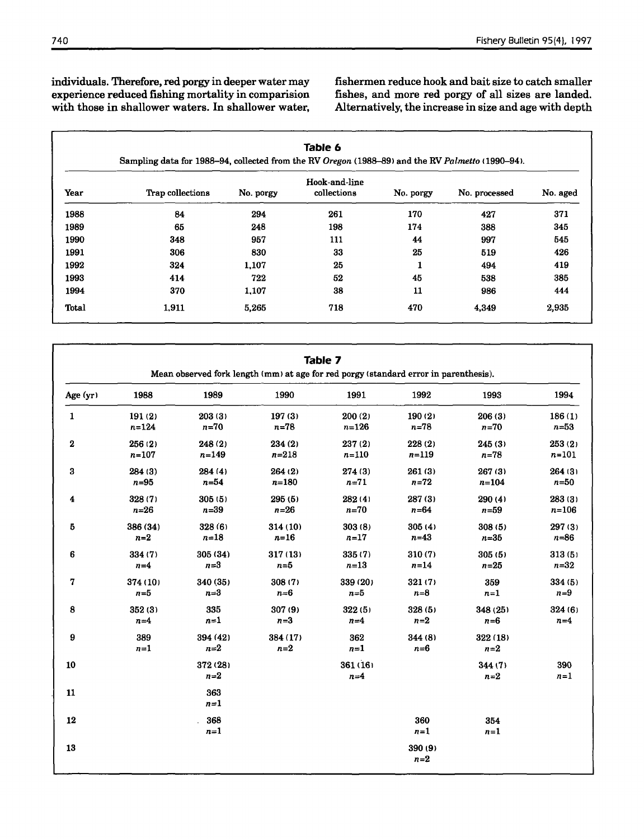individuals. Therefore, red porgy in deeper water may experience reduced fishing mortality in comparision with those in shallower waters. In shallower water, fishermen reduce hook and baitsize to catch smaller fishes, and more red porgy of all sizes are landed. Alternatively, the increase in size and age with depth

|       |                  |           | Hook-and-line |           |               |          |
|-------|------------------|-----------|---------------|-----------|---------------|----------|
| Year  | Trap collections | No. porgy | collections   | No. porgy | No. processed | No. aged |
| 1988  | 84               | 294       | 261           | 170       | 427           | 371      |
| 1989  | 65               | 248       | 198           | 174       | 388           | 345      |
| 1990  | 348              | 957       | 111           | 44        | 997           | 545      |
| 1991  | 306              | 830       | 33            | 25        | 519           | 426      |
| 1992  | 324              | 1,107     | 25            | 1         | 494           | 419      |
| 1993  | 414              | 722       | 52            | 45        | 538           | 385      |
| 1994  | 370              | 1,107     | 38            | 11        | 986           | 444      |
| Total | 1,911            | 5,265     | 718           | 470       | 4,349         | 2.935    |

|             |              |                   | Mean observed fork length (mm) at age for red porgy (standard error in parenthesis). | <b>Table 7</b>   |                    |                   |              |
|-------------|--------------|-------------------|--------------------------------------------------------------------------------------|------------------|--------------------|-------------------|--------------|
| Age (yr)    | 1988         | 1989              | 1990                                                                                 | 1991             | 1992               | 1993              | 1994         |
| 1           | 191(2)       | 203(3)            | 197(3)                                                                               | 200(2)           | 190(2)             | 206(3)            | 186(1)       |
|             | $n = 124$    | $n=70$            | $n=78$                                                                               | $n = 126$        | $n=78$             | $n=70$            | $n = 53$     |
| $\bf 2$     | 256 (2)      | 248 (2)           | 234 (2)                                                                              | 237 (2)          | 228 (2)            | 245(3)            | 253(2)       |
|             | $n = 107$    | $n = 149$         | $n = 218$                                                                            | $n = 110$        | $n = 119$          | $n = 78$          | $n = 101$    |
| 3           | 284 (3)      | 284 (4)           | 264(2)                                                                               | 274(3)           | 261(3)             | 267(3)            | 264 (3)      |
|             | $n = 95$     | $n=54$            | $n = 180$                                                                            | $n = 71$         | $n=72$             | $n = 104$         | $n=50$       |
| 4           | 328 (7)      | 305(5)            | 295(5)                                                                               | 282 (4)          | 287(3)             | 290(4)            | 283(3)       |
|             | $n=26$       | $n=39$            | $n=26$                                                                               | $n=70$           | $n = 64$           | $n = 59$          | $n = 106$    |
| 5           | 386 (34)     | 328 (6)           | 314(10)                                                                              | 303(8)           | 305(4)             | 308(5)            | 297 (3)      |
|             | $n=2$        | $n=18$            | $n=16$                                                                               | $n = 17$         | $n=43$             | $n=35$            | $n = 86$     |
| 6           | 334 (7)      | 305 (34)          | 317 (13)                                                                             | 335 (7)          | 310(7)             | 305(5)            | 313(5)       |
|             | $n=4$        | $n = 3$           | $n = 5$                                                                              | $n=13$           | $n = 14$           | $n=25$            | $n = 32$     |
| $\mathbf 7$ | 374 (10)     | 340 (35)          | 308 (7)                                                                              | 339 (20)         | 321(7)             | 359               | 334(5)       |
|             | $n=5$        | $n=3$             | $n=6$                                                                                | $n=5$            | $n = 8$            | $n=1$             | $n=9$        |
| 8           | 352(3)       | 335               | 307 (9)                                                                              | 322(5)           | 328(5)             | 348 (25)          | 324(6)       |
|             | $n=4$        | $n=1$             | $n=3$                                                                                | $n=4$            | $n=2$              | $n = 6$           | $n=4$        |
| 9           | 389<br>$n=1$ | 394 (42)<br>$n=2$ | 384 (17)<br>$n=2$                                                                    | 362<br>$n=1$     | 344 (8)<br>$n = 6$ | 322 (18)<br>$n=2$ |              |
| 10          |              | 372 (28)<br>$n=2$ |                                                                                      | 361(16)<br>$n=4$ |                    | 344(7)<br>$n=2$   | 390<br>$n=1$ |
| 11          |              | 363<br>$n=1$      |                                                                                      |                  |                    |                   |              |
| 12          |              | 368<br>$n=1$      |                                                                                      |                  | 360<br>$n=1$       | 354<br>$n=1$      |              |
| 13          |              |                   |                                                                                      |                  | 390 (9)<br>$n=2$   |                   |              |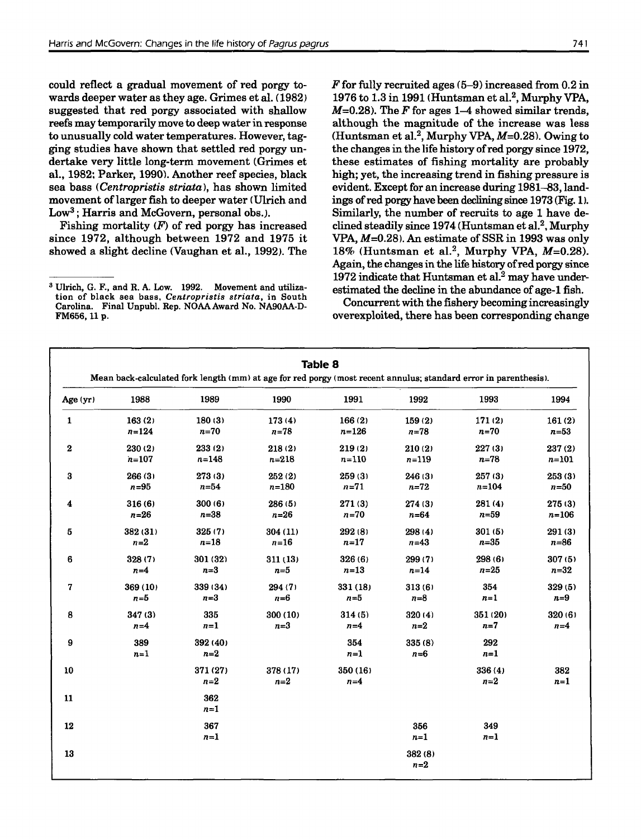could reflect a gradual movement of red porgy towards deeper water as they age. Grimes et al. (1982) suggested that red porgy associated with shallow reefs may temporarily move to deep waterin response to unusually cold water temperatures. However, tagging studies have shown that settled red porgy undertake very little long-term movement (Grimes et al., 1982; Parker, 1990). Another reef species, black sea bass *(Centropristis striata)*, has shown limited movement oflarger fish to deeper water (Ulrich and Low<sup>3</sup>: Harris and McGovern, personal obs.).

Fishing mortality  $(F)$  of red porgy has increased since 1972, although between 1972 and 1975 it showed a slight decline (Vaughan et aI., 1992). The *F* for fully recruited ages (5-9) increased from 0.2 in 1976 to  $1.3$  in 1991 (Huntsman et al.<sup>2</sup>, Murphy VPA,  $M=0.28$ ). The F for ages 1–4 showed similar trends. although the magnitude of the increase was less (Huntsman et al.<sup>2</sup>, Murphy VPA,  $M=0.28$ ). Owing to the changes in the life history of red porgy since 1972. these estimates of fishing mortality are probably high; yet, the increasing trend in fishing pressure is evident. Except for an increase during 1981-83, landings of red porgy have been declining since 1973 (Fig. 1). Similarly, the number of recruits to age 1 have declined steadily since 1974 (Huntsman et al.<sup>2</sup>, Murphy VPA,  $M=0.28$ ). An estimate of SSR in 1993 was only 18% (Huntsman et al.<sup>2</sup>, Murphy VPA,  $M=0.28$ ). Again, the changes in the life history of red porgy since  $1972$  indicate that Huntsman et al.<sup>2</sup> may have underestimated the decline in the abundance of age-1 fish.

Concurrent with the fishery becoming increasingly overexploited, there has been corresponding change

|                  |              |                   |                   | <b>Table 8</b>   |                 | Mean back-calculated fork length (mm) at age for red porgy (most recent annulus; standard error in parenthesis). |              |
|------------------|--------------|-------------------|-------------------|------------------|-----------------|------------------------------------------------------------------------------------------------------------------|--------------|
| Age (yr)         | 1988         | 1989              | 1990              | 1991             | 1992            | 1993                                                                                                             | 1994         |
| $\mathbf{1}$     | 163(2)       | 180(3)            | 173(4)            | 166(2)           | 159(2)          | 171(2)                                                                                                           | 161(2)       |
|                  | $n = 124$    | $n=70$            | $n = 78$          | $n = 126$        | $n = 78$        | $n=70$                                                                                                           | $n=53$       |
| $\bf{2}$         | 230(2)       | 233(2)            | 218(2)            | 219(2)           | 210(2)          | 227(3)                                                                                                           | 237(2)       |
|                  | $n = 107$    | $n = 148$         | $n = 218$         | $n = 110$        | $n = 119$       | $n=78$                                                                                                           | $n = 101$    |
| 3                | 266(3)       | 273(3)            | 252(2)            | 259(3)           | 246(3)          | 257(3)                                                                                                           | 253(3)       |
|                  | $n = 95$     | $n=54$            | $n = 180$         | $n = 71$         | $n=72$          | $n = 104$                                                                                                        | $n=50$       |
| $\boldsymbol{4}$ | 316(6)       | 300(6)            | 286 (5)           | 271(3)           | 274(3)          | 281(4)                                                                                                           | 275(3)       |
|                  | $n=26$       | $n = 38$          | $n=26$            | $n=70$           | $n = 64$        | $n=59$                                                                                                           | $n = 106$    |
| 5                | 382 (31)     | 325(7)            | 304 (11)          | 292 (8)          | 298 (4)         | 301(5)                                                                                                           | 291(3)       |
|                  | $n=2$        | $n=18$            | $n=16$            | $n=17$           | $n=43$          | $n = 35$                                                                                                         | $n = 86$     |
| $\bf 6$          | 328(7)       | 301 (32)          | 311(13)           | 326(6)           | 299 (7)         | 298 (6)                                                                                                          | 307(5)       |
|                  | $n=4$        | $n = 3$           | $n=5$             | $n=13$           | $n=14$          | $n=25$                                                                                                           | $n = 32$     |
| 7                | 369(10)      | 339 (34)          | 294 (7)           | 331(18)          | 313(6)          | 354                                                                                                              | 329(5)       |
|                  | $n = 5$      | $n=3$             | $n = 6$           | $n=5$            | $n = 8$         | $n=1$                                                                                                            | $n=9$        |
| 8                | 347(3)       | 335               | 300(10)           | 314(5)           | 320 (4)         | 351(20)                                                                                                          | 320(6)       |
|                  | $n=4$        | $n=1$             | $n=3$             | $n=4$            | $n=2$           | $n=7$                                                                                                            | $n=4$        |
| 9                | 389<br>$n=1$ | 392 (40)<br>$n=2$ |                   | 354<br>$n=1$     | 335(8)<br>$n=6$ | 292<br>$n=1$                                                                                                     |              |
| 10               |              | 371 (27)<br>$n=2$ | 378 (17)<br>$n=2$ | 350(16)<br>$n=4$ |                 | 336(4)<br>$n=2$                                                                                                  | 382<br>$n=1$ |
| 11               |              | 362<br>$n=1$      |                   |                  |                 |                                                                                                                  |              |
| 12               |              | 367<br>$n=1$      |                   |                  | 356<br>$n=1$    | 349<br>$n=1$                                                                                                     |              |
| 13               |              |                   |                   |                  | 382(8)<br>$n=2$ |                                                                                                                  |              |

<sup>&</sup>lt;sup>3</sup> Ulrich, G. F., and R. A. Low. 1992. Movement and utilization of black sea bass. *Centropristis striata,* in South Carolina. Final Unpubl. Rep. NOAA Award No. NA90AA-D-FM656, 11 p.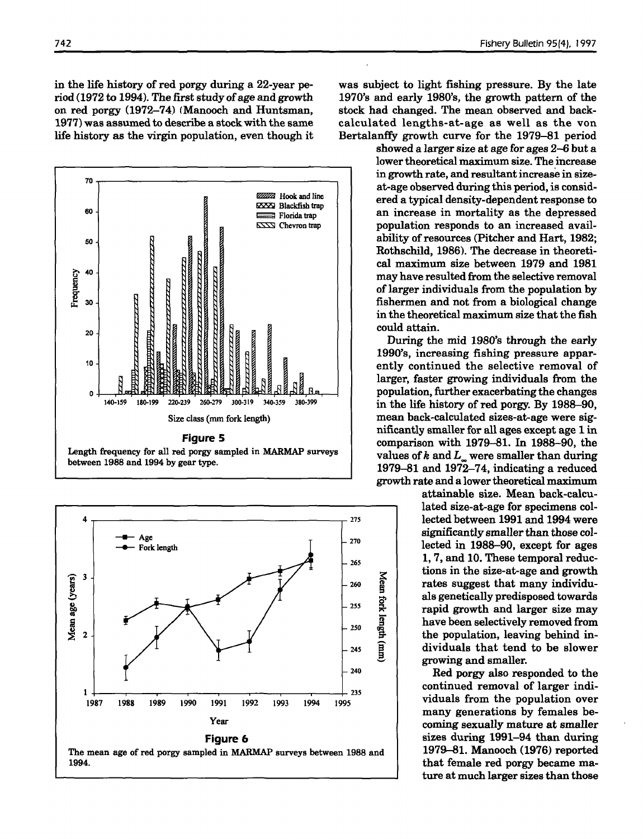in the life history of red porgy during a 22-year period (1972 to 1994). The first study of age and growth on red porgy  $(1972-74)$  (Manooch and Huntsman, 1977) was assumed to describe a stockwith the same life history as the virgin population, even though it





742 Fishery Bulletin 95(4). J997

was subject to light fishing pressure. By the late 1970's and early 1980's, the growth pattern of the stock had changed. The mean observed and backcalculated lengths-at-age as well as the von Bertalanffy growth curve for the 1979-81 period

> showed a larger size at age for ages 2-6 but a lower theoretical maximum size. The increase in growth rate, and resultant increase in sizeat-age observed during this period, is considered a typical density-dependent response to an increase in mortality as the depressed population responds to an increased availability of resources (Pitcher and Hart, 1982; Rothschild, 1986). The decrease in theoretical maximum size between 1979 and 1981 may have resulted from the selective removal of larger individuals from the population by fishermen and not from a biological change in the theoretical maximum size that the fish could attain.

> During the mid 1980's through the early 1990's, increasing fishing pressure apparently continued the selective removal of larger, faster growing individuals from the population, further exacerbating the changes in the life history of red porgy. By 1988-90, mean back-calculated sizes-at-age were significantly smaller for all ages except age 1 in comparison with 1979-81. In 1988-90, the values of  $k$  and  $L$  were smaller than during 1979-81 and 1972-74, indicating a reduced growth rate and a lower theoretical maximum

> > attainable size. Mean back-calculated size-at-age for specimens collected between 1991 and 1994 were significantly smaller than those collected in 1988-90, except for ages 1, 7, and 10. These temporal reductions in the size-at-age and growth rates suggest that many individuals genetically predisposed towards rapid growth and larger size may have been selectively removed from the population, leaving behind individuals that tend to be slower growing and smaller.

> > Red porgy also responded to the continued removal of larger individuals from the population over many generations by females becoming sexually mature at smaller sizes during 1991-94 than during 1979-81. Manooch (1976) reported that female red porgy became mature at much larger sizes than those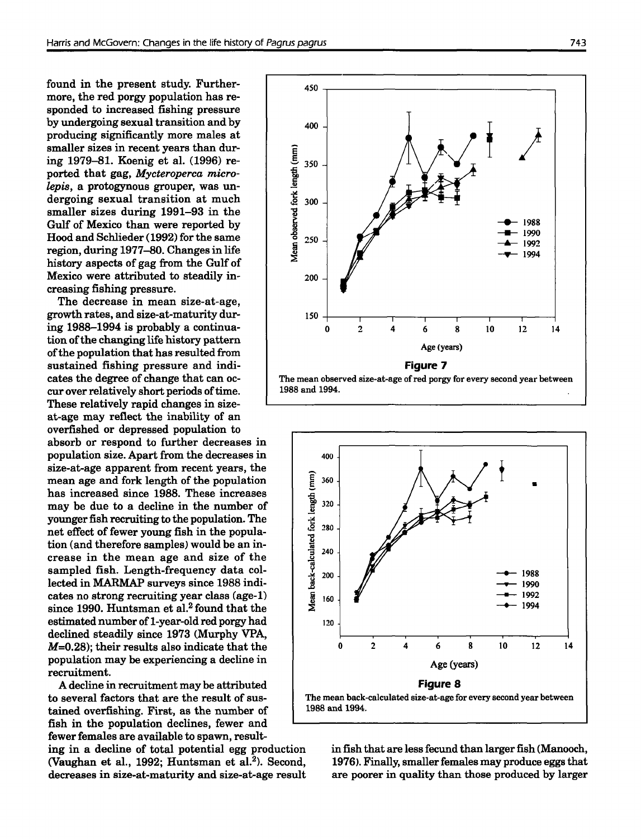found in the present study. Furthermore, the red porgy population has responded to increased fishing pressure by undergoing sexual transition and by producing significantly more males at smaller sizes in recent years than during 1979-81. Koenig et a1. (1996) reported that gag, *Mycteroperca microlepis,* a protogynous grouper, was undergoing sexual transition at much smaller sizes during 1991-93 in the Gulf of Mexico than were reported by Hood and Schlieder (1992) for the same region, during 1977-80. Changes in life history aspects of gag from the Gulf of Mexico were attributed to steadily increasing fishing pressure.

The decrease in mean size-at-age, growth rates, and size-at-maturity during 1988-1994 is probably a continuation of the changing life history pattern ofthe population that has resulted from sustained fishing pressure and indicates the degree of change that can occur over relatively short periods of time. These relatively rapid changes in sizeat-age may reflect the inability of an overfished or depressed population to absorb or respond to further decreases in population size. Apart from the decreases in size-at-age apparent from recent years, the mean age and fork length of the population has increased since 1988. These increases may be due to a decline in the number of younger fish recruiting to the population. The net effect of fewer young fish in the population (and therefore samples) would be an increase in the mean age and size of the sampled fish. Length-frequency data collected in MARMAP surveys since 1988 indicates no strong recruiting year class (age-I) since 1990. Huntsman et al.<sup>2</sup> found that the estimated number of 1-year-old red porgy had declined steadily since 1973 (Murphy VPA, M=0.28); their results also indicate that the population may be experiencing a decline in

A decline in recruitment may be attributed to several factors that are the result of sustained overfishing. First, as the number of fish in the population declines, fewer and fewer females are available to spawn, result-

recruitment.

ing in a decline of total potential egg production (Vaughan et al., 1992; Huntsman et al.<sup>2</sup>). Second, decreases in size-at-maturity and size-at-age result





in fish that are less fecund than larger fish (Manooch, 1976). Finally, smaller females may produce eggs that are poorer in quality than those produced by larger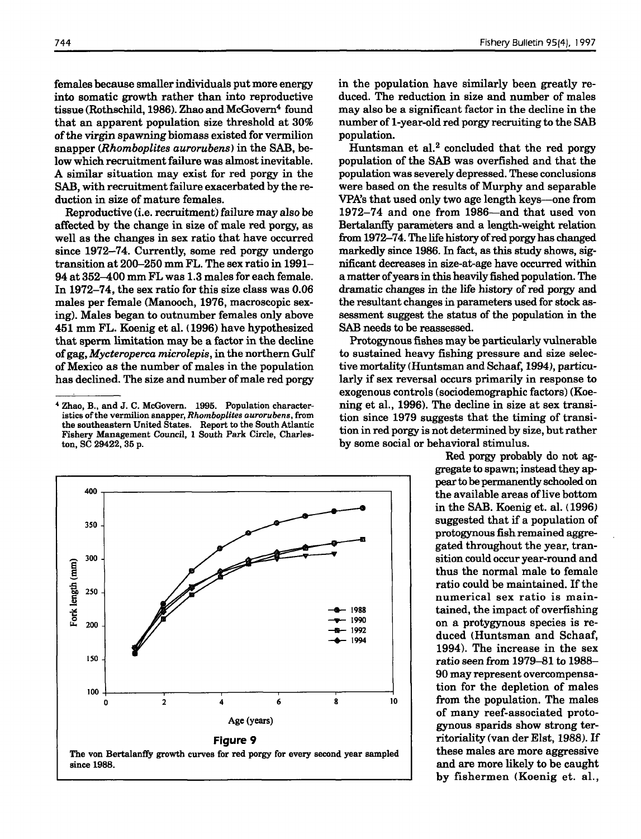females because smallerindividuals put more energy into somatic growth rather than into reproductive tissue (Rothschild, 1986). Zhao and McGovern<sup>4</sup> found that an apparent population size threshold at 30% ofthe virgin spawning biomass existed for vermilion snapper *(Rhomboplites aurorubens)* in the SAB, below which recruitment failure was almost inevitable. A similar situation may exist for red porgy in the SAB, with recruitment failure exacerbated by the reduction in size of mature females.

Reproductive (i.e. recruitment) failure may also be affected by the change in size of male red porgy, as well as the changes in sex ratio that have occurred since 1972-74. Currently, some red porgy undergo transition at 200-250 mm FL. The sex ratio in 1991- 94 at 352-400 mm FL was 1.3 males for each female. In 1972-74, the sex ratio for this size class was 0.06 males per female (Manooch, 1976, macroscopic sexing). Males began to outnumber females only above 451 mm FL. Koenig et aI. (1996) have hypothesized that sperm limitation may be a factor in the decline ofgag, *Mycteroperca microlepis,* in the northern Gulf of Mexico as the number of males in the population has declined. The size and number of male red porgy

in the population have similarly been greatly reduced. The reduction in size and number of males may also be a significant factor in the decline in the number of 1-year-old red porgy recruiting to the SAB population.

Huntsman et al.<sup>2</sup> concluded that the red porgy population of the SAB was overfished and that the population was severely depressed. These conclusions were based on the results of Murphy and separable VPA's that used only two age length keys-one from 1972-74 and one from 1986-and that used von Bertalanffy parameters and a length-weight relation from 1972–74. The life history of red porgy has changed markedly since 1986. In fact, as this study shows, significant decreases in size-at-age have occurred within a matter ofyearsin this heavily fished population. The dramatic changes in the life history of red porgy and the resultant changes in parameters used for stock assessment suggest the status of the population in the SAB needs to be reassessed.

Protogynous fishes may be particularly vulnerable to sustained heavy fishing pressure and size selective mortality (Huntsman and Schaaf, 1994), particularly if sex reversal occurs primarily in response to exogenous controls (sociodemographic factors) (Koening et aI., 1996). The decline in size at sex transition since 1979 suggests that the timing of transition in red porgy is not determined by size, but rather by some social or behavioral stimulus.

> Red porgy probably do not aggregate to spawn; instead they appearto be permanently schooled on the available areas of live bottom in the SAB. Koenig et. aI. (1996) suggested that if a population of protogynous fish remained aggregated throughout the year, transition could occur year-round and thus the normal male to female ratio could be maintained. If the numerical sex ratio is maintained, the impact of overfishing on a protygynous species is reduced (Huntsman and Schaaf, 1994). The increase in the sex ratio seen from 1979-81 to 1988- 90 may represent overcompensation for the depletion of males from the population. The males of many reef-associated protogynous sparids show strong territoriality (van der Elst, 1988). If these males are more aggressive and are more likely to be caught by fishermen (Koenig et. aI.,



<sup>4</sup> Zhao, B., and J. C. McGovern. 1995. Population characteristics ofthe vermilion snapper, *Rhomboplites aurorubens,* from the southeastern United States. Report to the South Atlantic Fishery Management Council, 1 South Park Circle, Charleston, SC 29422, 35 p.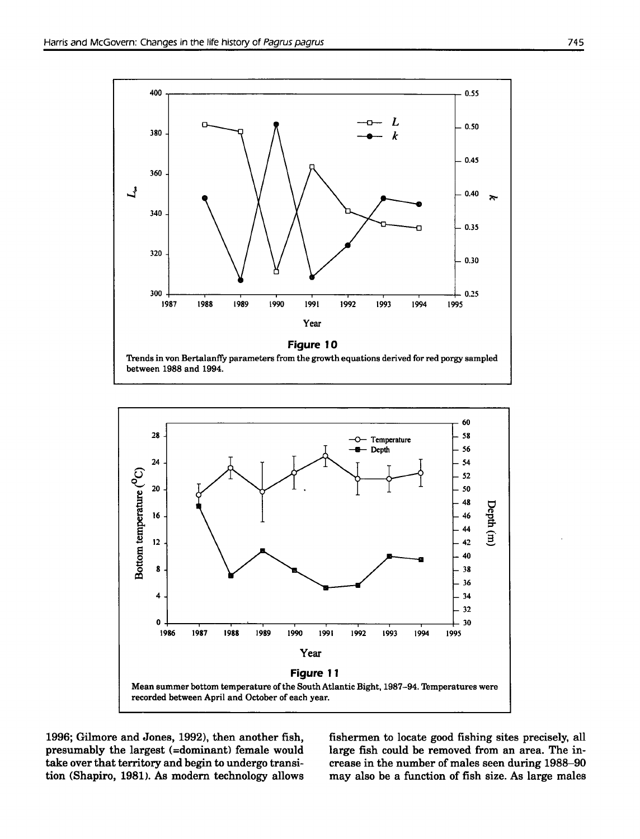



1996; Gilmore and Jones, 1992), then another fish, presumably the largest (=dominant) female would take over that territory and begin to undergo transition (Shapiro, 1981). As modem technology allows fishermen to locate good fishing sites precisely, all large fish could be removed from an area. The increase in the number of males seen during 1988-90 may also be a function of fish size. As large males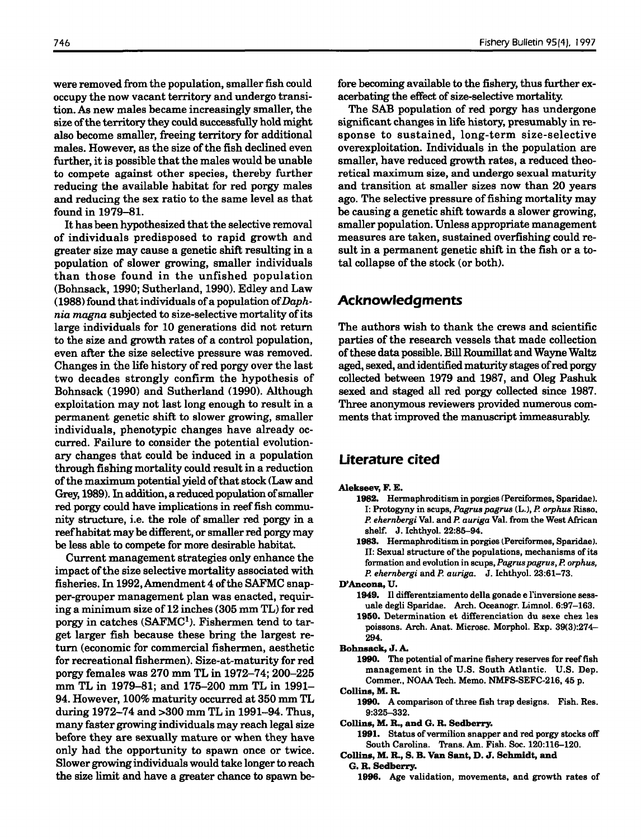were removed from the population, smaller fish could occupy the now vacant territory and undergo transition. As new males became increasingly smaller, the size of the territory they could successfully hold might also become smaller, freeing territory for additional males. However, as the size of the fish declined even further, it is possible that the males would be unable to compete against other species, thereby further reducing the available habitat for red porgy males and reducing the sex ratio to the same level as that found in 1979-81.

It has been hypothesized that the selective removal of individuals predisposed to rapid growth and greater size may cause a genetic shift resulting in a population of slower growing, smaller individuals than those found in the unfished population (Bohnsack, 1990; Sutherland, 1990). Edley and Law  $(1988)$  found that individuals of a population of Daph*nia magna* subjected to size-selective mortality ofits large individuals for 10 generations did not return to the size and growth rates of a control population, even after the size selective pressure was removed. Changes in the life history of red porgy over the last two decades strongly confirm the hypothesis of Bohnsack (1990) and Sutherland (1990). Although exploitation may not last long enough to result in a permanent genetic shift to slower growing, smaller individuals, phenotypic changes have already occurred. Failure to consider the potential evolutionary changes that could be induced in a population through fishing mortality could result in a reduction of the maximum potential yield of that stock (Law and Grey, 1989). In addition, a reduced population of smaller red porgy could have implications in reef fish community structure, i.e. the role of smaller red porgy in a reef habitat may be different, or smaller red porgy may be less able to compete for more desirable habitat.

Current management strategies only enhance the impact of the size selective mortality associated with fisheries. In 1992, Amendment 4 of the SAFMC snapper-grouper management plan was enacted, requiring a minimum size of 12 inches (305 mm TL) for red porgy in catches  $(SAFMC<sup>1</sup>)$ . Fishermen tend to target larger fish because these bring the largest return (economic for commercial fishermen, aesthetic for recreational fishermen). Size-at-maturity for red porgy females was 270 mm TL in 1972-74; 200-225 mm TL in 1979-81; and 175-200 mm TL in 1991- 94. However, 100% maturity occurred at 350 mm TL during 1972-74 and >300 mm TL in 1991-94. Thus, many faster growing individuals may reach legal size before they are sexually mature or when they have only had the opportunity to spawn once or twice. Slower growing individuals would take longer to reach the size limit and have a greater chance to spawn before becoming available to the fishery, thus further exacerbating the effect of size-selective mortality.

The SAB population of red porgy has undergone significant changes in life history, presumably in response to sustained, long-term size-selective overexploitation. Individuals in the population are smaller, have reduced growth rates, a reduced theoretical maximum size, and undergo sexual maturity and transition at smaller sizes now than 20 years ago. The selective pressure of fishing mortality may be causing a genetic shift towards a slower growing, smaller population. Unless appropriate management measures are taken, sustained overfishing could result in a permanent genetic shift in the fish or a total collapse of the stock (or both).

## **Acknowledgments**

The authors wish to thank the crews and scientific parties of the research vessels that made collection ofthese data possible. Bill Roumillat and Wayne Waltz aged, sexed, and identified maturity stages ofred porgy collected between 1979 and 1987, and Oleg Pashuk sexed and staged all red porgy collected since 1987. Three anonymous reviewers provided numerous comments that improved the manuscript immeasurably.

# **Literature cited**

### Alekseev, F. E.

- 1982. Hermaphroditism in porgies (Perciformes, Sparidae). I: Protogyny in scups, *Pagru8 pagru8* (L.), *P. orphu8* Risso. *P. ehernbergi* Val. and *P. auriga* Val. from the West African shelf. J. Ichthyol. 22:85-94.
- 1983. Hermaphroditism in porgies (Perciformes, Sparidae). II: Sexual structure of the populations, mechanisms of its fonnation and evolution in scups, *Pagrus pagrus, P. orphu8, P. ehernbergi* and *P. auriga.* J. Ichthyol. 23:61-73.

D'Ancona, U.

1949. II differentziamento della gonade e l'inversione sessuale degli Sparidae. Arch. Oceanogr. Limnol. 6:97-163. 1950. Determination et differenciation du sexe chez les

poissons. Arch. Anat. Microsc. Morphol. Exp. 39(3):274- 294.

Bohnsack, J. A.

1990. The potential of marine fishery reserves for reef fish management in the U.S. South Atlantic. U.S. Dep. Commer., NOAA Tech. Memo. NMFS-SEFC-216, 45 p.

Collins, M. R.

1990. A comparison of three fish trap designs. Fish. Res. 9:325-332.

Collins, M. R., and G. R. Sedberry.

1991. Status of vermilion snapper and red porgy stocks off South Carolina. Trans. Am. Fish. Soc. 120:116-120.

Collins, M. ft., S. B. Van Sant, D. J. Schmidt, and G. R. Sedberry.

1996. Age validation, movements, and growth rates of